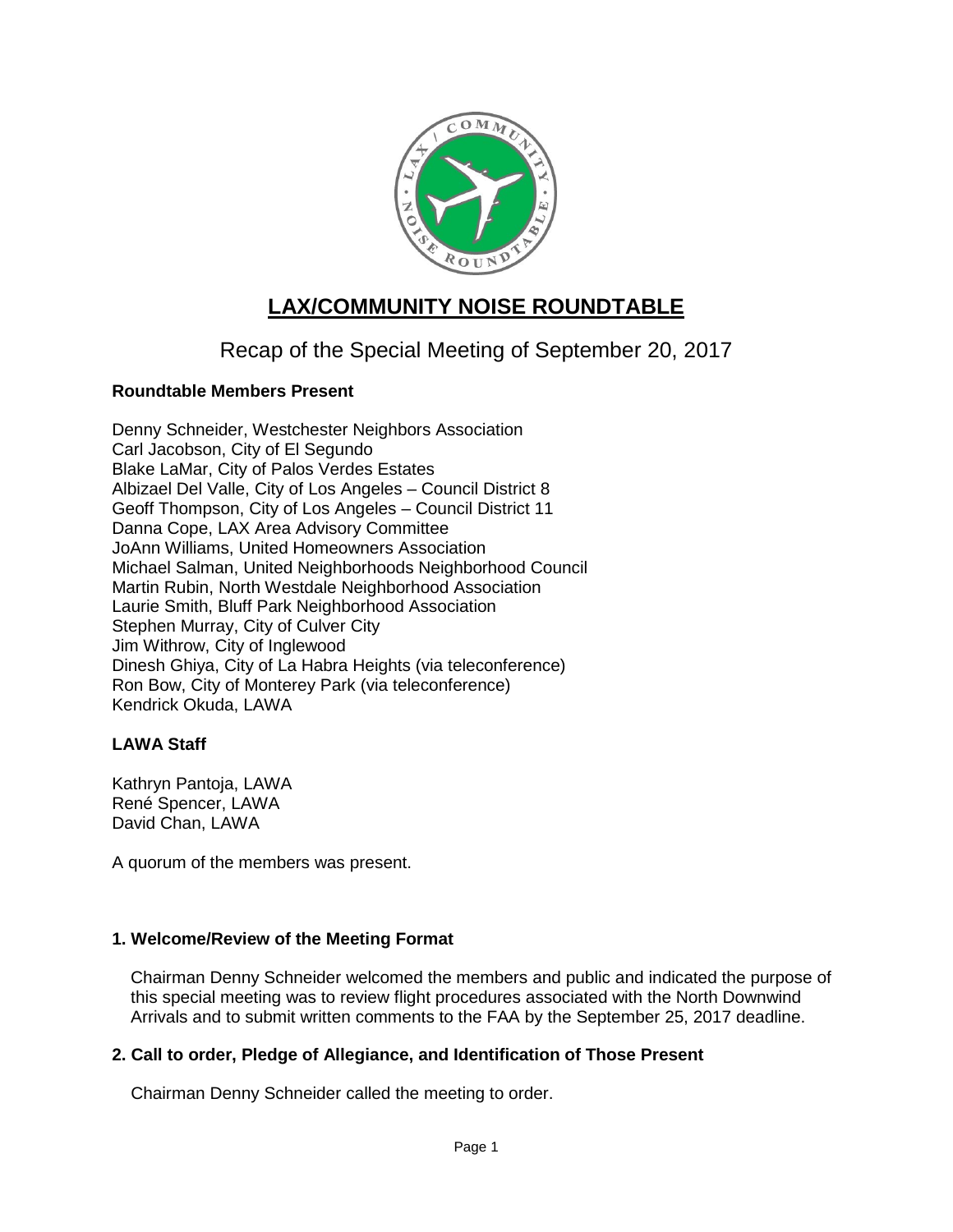

# **LAX/COMMUNITY NOISE ROUNDTABLE**

Recap of the Special Meeting of September 20, 2017

# **Roundtable Members Present**

Denny Schneider, Westchester Neighbors Association Carl Jacobson, City of El Segundo Blake LaMar, City of Palos Verdes Estates Albizael Del Valle, City of Los Angeles – Council District 8 Geoff Thompson, City of Los Angeles – Council District 11 Danna Cope, LAX Area Advisory Committee JoAnn Williams, United Homeowners Association Michael Salman, United Neighborhoods Neighborhood Council Martin Rubin, North Westdale Neighborhood Association Laurie Smith, Bluff Park Neighborhood Association Stephen Murray, City of Culver City Jim Withrow, City of Inglewood Dinesh Ghiya, City of La Habra Heights (via teleconference) Ron Bow, City of Monterey Park (via teleconference) Kendrick Okuda, LAWA

# **LAWA Staff**

Kathryn Pantoja, LAWA René Spencer, LAWA David Chan, LAWA

A quorum of the members was present.

# **1. Welcome/Review of the Meeting Format**

Chairman Denny Schneider welcomed the members and public and indicated the purpose of this special meeting was to review flight procedures associated with the North Downwind Arrivals and to submit written comments to the FAA by the September 25, 2017 deadline.

# **2. Call to order, Pledge of Allegiance, and Identification of Those Present**

Chairman Denny Schneider called the meeting to order.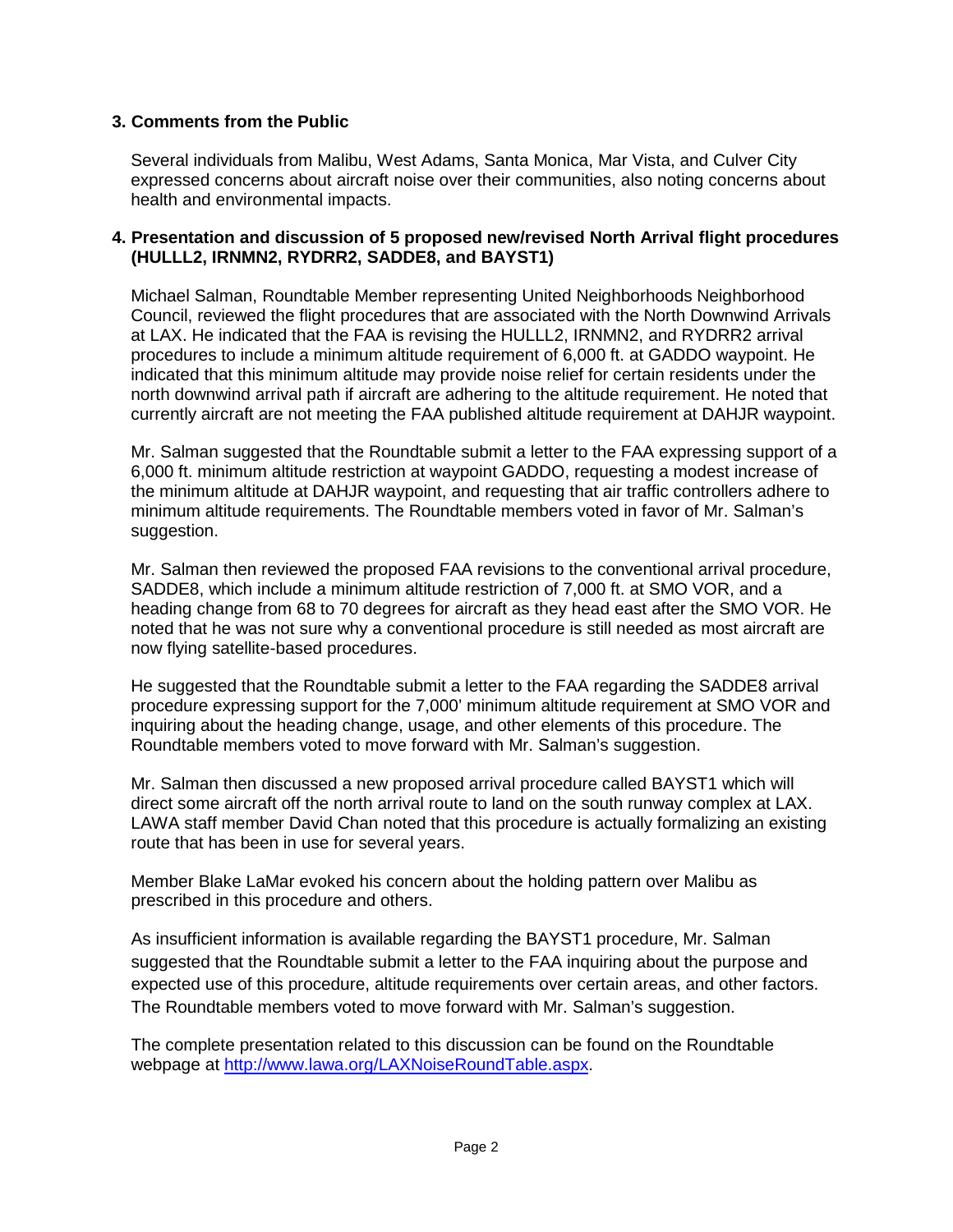## **3. Comments from the Public**

Several individuals from Malibu, West Adams, Santa Monica, Mar Vista, and Culver City expressed concerns about aircraft noise over their communities, also noting concerns about health and environmental impacts.

#### **4. Presentation and discussion of 5 proposed new/revised North Arrival flight procedures (HULLL2, IRNMN2, RYDRR2, SADDE8, and BAYST1)**

Michael Salman, Roundtable Member representing United Neighborhoods Neighborhood Council, reviewed the flight procedures that are associated with the North Downwind Arrivals at LAX. He indicated that the FAA is revising the HULLL2, IRNMN2, and RYDRR2 arrival procedures to include a minimum altitude requirement of 6,000 ft. at GADDO waypoint. He indicated that this minimum altitude may provide noise relief for certain residents under the north downwind arrival path if aircraft are adhering to the altitude requirement. He noted that currently aircraft are not meeting the FAA published altitude requirement at DAHJR waypoint.

Mr. Salman suggested that the Roundtable submit a letter to the FAA expressing support of a 6,000 ft. minimum altitude restriction at waypoint GADDO, requesting a modest increase of the minimum altitude at DAHJR waypoint, and requesting that air traffic controllers adhere to minimum altitude requirements. The Roundtable members voted in favor of Mr. Salman's suggestion.

Mr. Salman then reviewed the proposed FAA revisions to the conventional arrival procedure, SADDE8, which include a minimum altitude restriction of 7,000 ft. at SMO VOR, and a heading change from 68 to 70 degrees for aircraft as they head east after the SMO VOR. He noted that he was not sure why a conventional procedure is still needed as most aircraft are now flying satellite-based procedures.

He suggested that the Roundtable submit a letter to the FAA regarding the SADDE8 arrival procedure expressing support for the 7,000' minimum altitude requirement at SMO VOR and inquiring about the heading change, usage, and other elements of this procedure. The Roundtable members voted to move forward with Mr. Salman's suggestion.

Mr. Salman then discussed a new proposed arrival procedure called BAYST1 which will direct some aircraft off the north arrival route to land on the south runway complex at LAX. LAWA staff member David Chan noted that this procedure is actually formalizing an existing route that has been in use for several years.

Member Blake LaMar evoked his concern about the holding pattern over Malibu as prescribed in this procedure and others.

As insufficient information is available regarding the BAYST1 procedure, Mr. Salman suggested that the Roundtable submit a letter to the FAA inquiring about the purpose and expected use of this procedure, altitude requirements over certain areas, and other factors. The Roundtable members voted to move forward with Mr. Salman's suggestion.

The complete presentation related to this discussion can be found on the Roundtable webpage at [http://www.lawa.org/LAXNoiseRoundTable.aspx.](http://www.lawa.org/LAXNoiseRoundTable.aspx)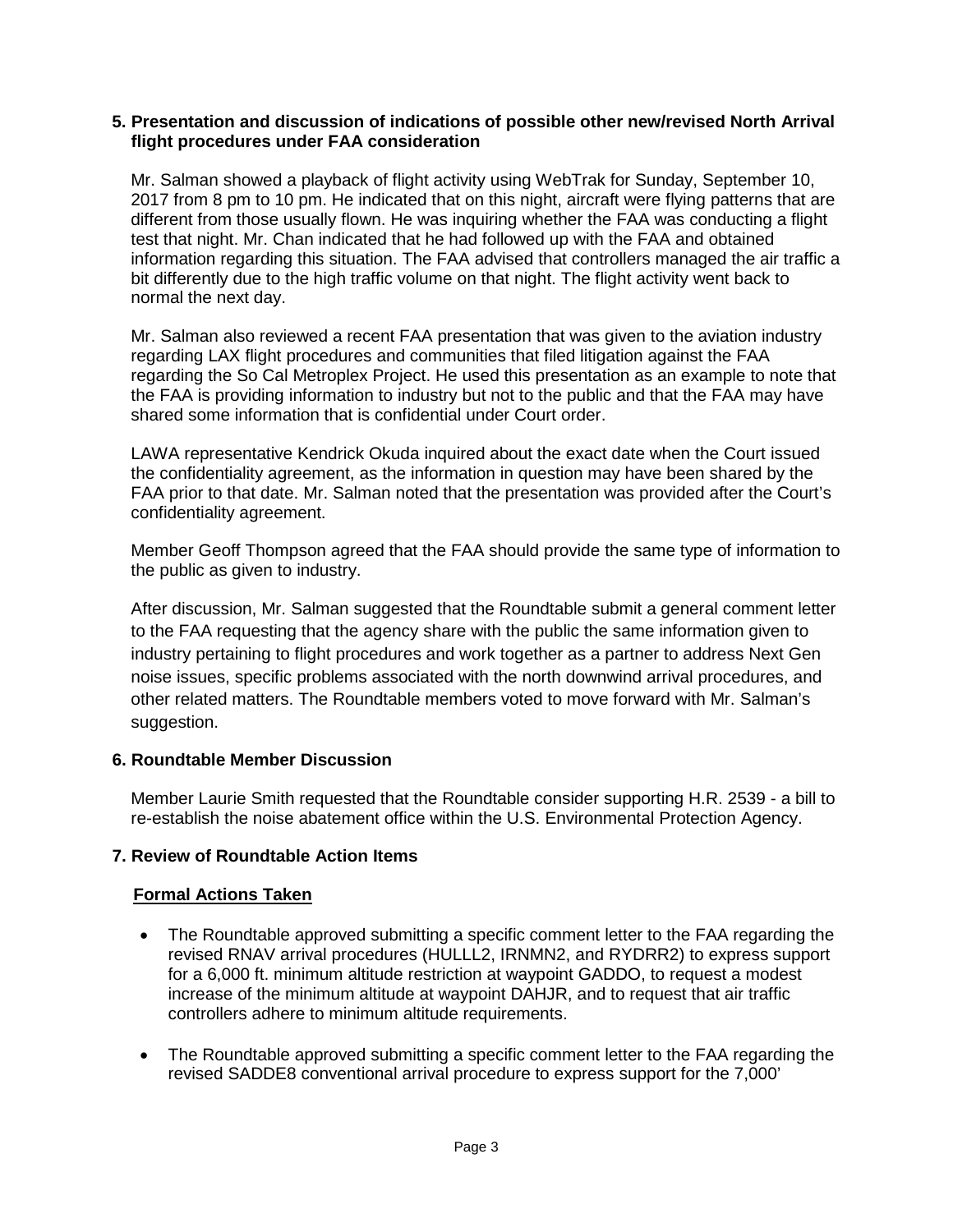#### **5. Presentation and discussion of indications of possible other new/revised North Arrival flight procedures under FAA consideration**

Mr. Salman showed a playback of flight activity using WebTrak for Sunday, September 10, 2017 from 8 pm to 10 pm. He indicated that on this night, aircraft were flying patterns that are different from those usually flown. He was inquiring whether the FAA was conducting a flight test that night. Mr. Chan indicated that he had followed up with the FAA and obtained information regarding this situation. The FAA advised that controllers managed the air traffic a bit differently due to the high traffic volume on that night. The flight activity went back to normal the next day.

Mr. Salman also reviewed a recent FAA presentation that was given to the aviation industry regarding LAX flight procedures and communities that filed litigation against the FAA regarding the So Cal Metroplex Project. He used this presentation as an example to note that the FAA is providing information to industry but not to the public and that the FAA may have shared some information that is confidential under Court order.

LAWA representative Kendrick Okuda inquired about the exact date when the Court issued the confidentiality agreement, as the information in question may have been shared by the FAA prior to that date. Mr. Salman noted that the presentation was provided after the Court's confidentiality agreement.

Member Geoff Thompson agreed that the FAA should provide the same type of information to the public as given to industry.

After discussion, Mr. Salman suggested that the Roundtable submit a general comment letter to the FAA requesting that the agency share with the public the same information given to industry pertaining to flight procedures and work together as a partner to address Next Gen noise issues, specific problems associated with the north downwind arrival procedures, and other related matters. The Roundtable members voted to move forward with Mr. Salman's suggestion.

#### **6. Roundtable Member Discussion**

Member Laurie Smith requested that the Roundtable consider supporting H.R. 2539 - a bill to re-establish the noise abatement office within the U.S. Environmental Protection Agency.

# **7. Review of Roundtable Action Items**

# **Formal Actions Taken**

- The Roundtable approved submitting a specific comment letter to the FAA regarding the revised RNAV arrival procedures (HULLL2, IRNMN2, and RYDRR2) to express support for a 6,000 ft. minimum altitude restriction at waypoint GADDO, to request a modest increase of the minimum altitude at waypoint DAHJR, and to request that air traffic controllers adhere to minimum altitude requirements.
- The Roundtable approved submitting a specific comment letter to the FAA regarding the revised SADDE8 conventional arrival procedure to express support for the 7,000'